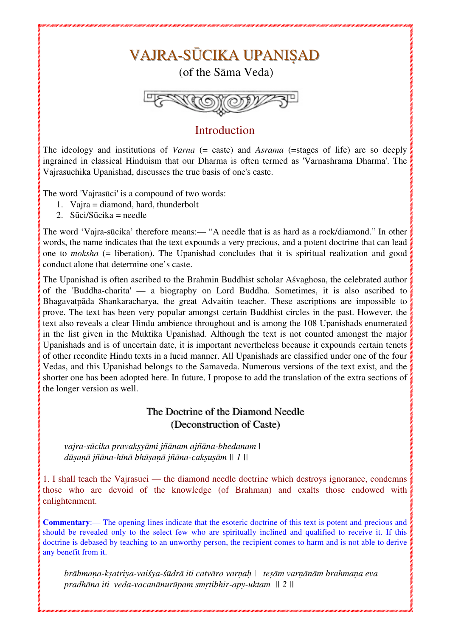# VAJRA-SŪCIKA UPANISAD

(of the Sāma Veda)



## **Introduction**

The ideology and institutions of *Varna* (= caste) and *Asrama* (= stages of life) are so deeply ingrained in classical Hinduism that our Dharma is often termed as 'Varnashrama Dharma'. The Vajrasuchika Upanishad, discusses the true basis of one's caste.

The word 'Vajrasūci' is a compound of two words:

- 1. Vajra = diamond, hard, thunderbolt
- 2.  $Sūci/Sūcika = needle$

The word 'Vajra-sūcika' therefore means:— "A needle that is as hard as a rock/diamond." In other words, the name indicates that the text expounds a very precious, and a potent doctrine that can lead one to *moksha* (= liberation). The Upanishad concludes that it is spiritual realization and good conduct alone that determine one's caste.

The Upanishad is often ascribed to the Brahmin Buddhist scholar Aśvaghosa, the celebrated author of the 'Buddha-charita' — a biography on Lord Buddha. Sometimes, it is also ascribed to Bhagavatpāda Shankaracharya, the great Advaitin teacher. These ascriptions are impossible to prove. The text has been very popular amongst certain Buddhist circles in the past. However, the text also reveals a clear Hindu ambience throughout and is among the 108 Upanishads enumerated in the list given in the Muktika Upanishad. Although the text is not counted amongst the major Upanishads and is of uncertain date, it is important nevertheless because it expounds certain tenets of other recondite Hindu texts in a lucid manner. All Upanishads are classified under one of the four Vedas, and this Upanishad belongs to the Samaveda. Numerous versions of the text exist, and the shorter one has been adopted here. In future, I propose to add the translation of the extra sections of the longer version as well.

### The Doctrine of the Diamond Needle (Deconstruction of Caste)

*vajra-sūcika pravakṣyāmi jñānam ajñāna-bhedanam | dūṣaṇā jñāna-hīnā bhūṣaṇā jñāna-cakṣuṣām || 1 ||*

1. I shall teach the Vajrasuci — the diamond needle doctrine which destroys ignorance, condemns those who are devoid of the knowledge (of Brahman) and exalts those endowed with enlightenment.

**Commentary**:— The opening lines indicate that the esoteric doctrine of this text is potent and precious and should be revealed only to the select few who are spiritually inclined and qualified to receive it. If this doctrine is debased by teaching to an unworthy person, the recipient comes to harm and is not able to derive any benefit from it.

brāhmana-ksatriya-vaiśya-śūdrā iti catvāro varnah | tesām varnānām brahmana eva *pradhāna iti veda-vacanānurūpam smṛtibhir-apy-uktam || 2 ||*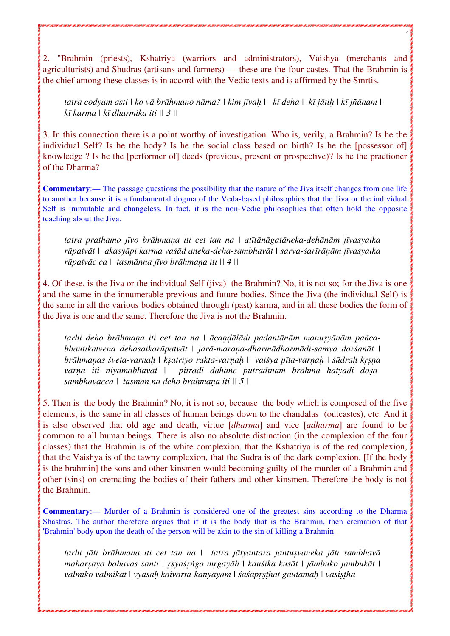2. "Brahmin (priests), Kshatriya (warriors and administrators), Vaishya (merchants and agriculturists) and Shudras (artisans and farmers) — these are the four castes. That the Brahmin is the chief among these classes is in accord with the Vedic texts and is affirmed by the Smrtis.

2

tatra codyam asti | ko vā brāhmano nāma? | kim jīvah | kī deha | kī jātih | kī jñānam | *kī karma | kī dharmika iti || 3 ||*

3. In this connection there is a point worthy of investigation. Who is, verily, a Brahmin? Is he the individual Self? Is he the body? Is he the social class based on birth? Is he the [possessor of] knowledge ? Is he the [performer of] deeds (previous, present or prospective)? Is he the practioner of the Dharma?

**Commentary**:— The passage questions the possibility that the nature of the Jiva itself changes from one life to another because it is a fundamental dogma of the Veda-based philosophies that the Jiva or the individual Self is immutable and changeless. In fact, it is the non-Vedic philosophies that often hold the opposite teaching about the Jiva.

tatra prathamo jīvo brāhmana iti cet tan na | atītānāgatāneka-dehānām jīvasyaika *rūpatvāt | akasyāpi karma vaśād aneka-deha-sambhavāt | sarva-śarīrāṇāṃ jīvasyaika rūpatvāc ca | tasmānna jīvo brāhmaṇa iti || 4 ||*

4. Of these, is the Jiva or the individual Self (jiva) the Brahmin? No, it is not so; for the Jiva is one and the same in the innumerable previous and future bodies. Since the Jiva (the individual Self) is the same in all the various bodies obtained through (past) karma, and in all these bodies the form of the Jiva is one and the same. Therefore the Jiva is not the Brahmin.

*tarhi deho brāhmaṇa iti cet tan na | ācaṇḍālādi padantānām manuṣyāṇām pañcabhautikatvena dehasaikarūpatvāt | jarā-maraṇa-dharmādharmādi-samya darśanāt |*  brāhmanas śveta-varnah | ksatriyo rakta-varnah | vaiśya pīta-varnah | śūdrah krsna *varṇa iti niyamābhāvāt | pitrādi dahane putrādīnām brahma hatyādi doṣasambhavācca | tasmān na deho brāhmaṇa iti || 5 ||*

5. Then is the body the Brahmin? No, it is not so, because the body which is composed of the five elements, is the same in all classes of human beings down to the chandalas (outcastes), etc. And it is also observed that old age and death, virtue [*dharma*] and vice [*adharma*] are found to be common to all human beings. There is also no absolute distinction (in the complexion of the four classes) that the Brahmin is of the white complexion, that the Kshatriya is of the red complexion, that the Vaishya is of the tawny complexion, that the Sudra is of the dark complexion. [If the body is the brahmin] the sons and other kinsmen would becoming guilty of the murder of a Brahmin and other (sins) on cremating the bodies of their fathers and other kinsmen. Therefore the body is not the Brahmin.

**Commentary**:— Murder of a Brahmin is considered one of the greatest sins according to the Dharma Shastras. The author therefore argues that if it is the body that is the Brahmin, then cremation of that 'Brahmin' body upon the death of the person will be akin to the sin of killing a Brahmin.

*tarhi jāti brāhmaṇa iti cet tan na | tatra jātyantara jantuṣvaneka jāti sambhavā maharṣayo bahavas santi | ṛṣyaśṛṅgo mṛgayāh | kauśika kuśāt | jāmbuko jambukāt |*  vālmīko vālmikāt | vyāsah kaivarta-kanyāyām | śaśaprsthāt gautamah | vasistha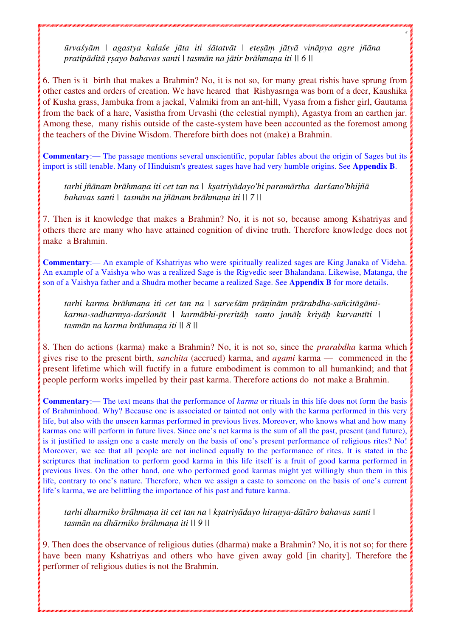ūrvaśyām | agastya kalaśe jāta iti śātatvāt | etesām jātyā vināpya agre jñāna *pratipāditā ṛṣayo bahavas santi | tasmān na jātir brāhmaṇa iti || 6 ||*

3

6. Then is it birth that makes a Brahmin? No, it is not so, for many great rishis have sprung from other castes and orders of creation. We have heared that Rishyasrnga was born of a deer, Kaushika of Kusha grass, Jambuka from a jackal, Valmiki from an ant-hill, Vyasa from a fisher girl, Gautama from the back of a hare, Vasistha from Urvashi (the celestial nymph), Agastya from an earthen jar. Among these, many rishis outside of the caste-system have been accounted as the foremost among the teachers of the Divine Wisdom. Therefore birth does not (make) a Brahmin.

**Commentary**:— The passage mentions several unscientific, popular fables about the origin of Sages but its import is still tenable. Many of Hinduism's greatest sages have had very humble origins. See **Appendix B**.

*tarhi jñānam brāhmaṇa iti cet tan na | kṣatriyādayo'hi paramārtha darśano'bhijñā bahavas santi | tasmān na jñānam brāhmaṇa iti || 7 ||* 

7. Then is it knowledge that makes a Brahmin? No, it is not so, because among Kshatriyas and others there are many who have attained cognition of divine truth. Therefore knowledge does not make a Brahmin.

**Commentary**:— An example of Kshatriyas who were spiritually realized sages are King Janaka of Videha. An example of a Vaishya who was a realized Sage is the Rigvedic seer Bhalandana. Likewise, Matanga, the son of a Vaishya father and a Shudra mother became a realized Sage. See **Appendix B** for more details.

*tarhi karma brāhmaṇa iti cet tan na | sarveśām prāṇinām prārabdha-sañcitāgāmikarma-sadharmya-darśanāt | karmābhi-preritāḥ santo janāḥ kriyāḥ kurvantīti | tasmān na karma brāhmaṇa iti || 8 ||*

8. Then do actions (karma) make a Brahmin? No, it is not so, since the *prarabdha* karma which gives rise to the present birth, *sanchita* (accrued) karma, and *agami* karma — commenced in the present lifetime which will fuctify in a future embodiment is common to all humankind; and that people perform works impelled by their past karma. Therefore actions do not make a Brahmin.

**Commentary**:— The text means that the performance of *karma* or rituals in this life does not form the basis of Brahminhood. Why? Because one is associated or tainted not only with the karma performed in this very life, but also with the unseen karmas performed in previous lives. Moreover, who knows what and how many karmas one will perform in future lives. Since one's net karma is the sum of all the past, present (and future), is it justified to assign one a caste merely on the basis of one's present performance of religious rites? No! Moreover, we see that all people are not inclined equally to the performance of rites. It is stated in the scriptures that inclination to perform good karma in this life itself is a fruit of good karma performed in previous lives. On the other hand, one who performed good karmas might yet willingly shun them in this life, contrary to one's nature. Therefore, when we assign a caste to someone on the basis of one's current life's karma, we are belittling the importance of his past and future karma.

*tarhi dharmiko brāhmaṇa iti cet tan na | kṣatriyādayo hiraṇya-dātāro bahavas santi | tasmān na dhārmiko brāhmaṇa iti || 9 ||* 

9. Then does the observance of religious duties (dharma) make a Brahmin? No, it is not so; for there have been many Kshatriyas and others who have given away gold [in charity]. Therefore the performer of religious duties is not the Brahmin.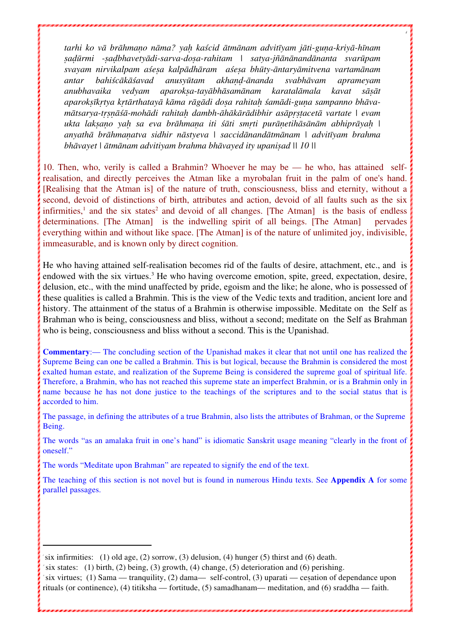tarhi ko vā brāhmano nāma? yah kaścid ātmānam advitīyam jāti-guna-kriyā-hīnam *ṣaḍūrmi -ṣaḍbhavetyādi-sarva-doṣa-rahitam | satya-jñānānandānanta svarūpam svayam nirvikalpam aśeṣa kalpādhāram aśeṣa bhūty-āntaryāmitvena vartamānam antar bahiścākāśavad anusyūtam akhaṇḍ-ānanda svabhāvam aprameyam anubhavaika vedyam aparokṣa-tayābhāsamānam karatalāmala kavat sāṣāt*  aparoksīkrtya krtārthatayā kāma rāgādi dosa rahitah śamādi-guna sampanno bhāvamātsarya-trsnāśā-mohādi rahitah dambh-āhākārādibhir asāprstacetā vartate | evam ukta laksano yah sa eva brāhmana iti śāti smrti purānetihāsānām abhiprāyah | *anyathā brāhmaṇatva sidhir nāstyeva | saccidānandātmānam | advitīyam brahma bhāvayet | ātmānam advitiyam brahma bhāvayed ity upaniṣad || 10 ||*

4

10. Then, who, verily is called a Brahmin? Whoever he may be — he who, has attained selfrealisation, and directly perceives the Atman like a myrobalan fruit in the palm of one's hand. [Realising that the Atman is] of the nature of truth, consciousness, bliss and eternity, without a second, devoid of distinctions of birth, attributes and action, devoid of all faults such as the six infirmities,<sup>1</sup> and the six states<sup>2</sup> and devoid of all changes. [The Atman] is the basis of endless determinations. [The Atman] is the indwelling spirit of all beings. [The Atman] pervades everything within and without like space. [The Atman] is of the nature of unlimited joy, indivisible, immeasurable, and is known only by direct cognition.

He who having attained self-realisation becomes rid of the faults of desire, attachment, etc., and is endowed with the six virtues.<sup>3</sup> He who having overcome emotion, spite, greed, expectation, desire, delusion, etc., with the mind unaffected by pride, egoism and the like; he alone, who is possessed of these qualities is called a Brahmin. This is the view of the Vedic texts and tradition, ancient lore and history. The attainment of the status of a Brahmin is otherwise impossible. Meditate on the Self as Brahman who is being, consciousness and bliss, without a second; meditate on the Self as Brahman who is being, consciousness and bliss without a second. This is the Upanishad.

**Commentary**:— The concluding section of the Upanishad makes it clear that not until one has realized the Supreme Being can one be called a Brahmin. This is but logical, because the Brahmin is considered the most exalted human estate, and realization of the Supreme Being is considered the supreme goal of spiritual life. Therefore, a Brahmin, who has not reached this supreme state an imperfect Brahmin, or is a Brahmin only in name because he has not done justice to the teachings of the scriptures and to the social status that is accorded to him.

The passage, in defining the attributes of a true Brahmin, also lists the attributes of Brahman, or the Supreme Being.

The words "as an amalaka fruit in one's hand" is idiomatic Sanskrit usage meaning "clearly in the front of oneself."

The words "Meditate upon Brahman" are repeated to signify the end of the text.

The teaching of this section is not novel but is found in numerous Hindu texts. See **Appendix A** for some parallel passages.

2 six states: (1) birth, (2) being, (3) growth, (4) change, (5) deterioration and (6) perishing.

 <sup>1</sup> six infirmities: (1) old age, (2) sorrow, (3) delusion, (4) hunger (5) thirst and (6) death.

<sup>3</sup> six virtues; (1) Sama — tranquility, (2) dama— self-control, (3) uparati — ceṣation of dependance upon rituals (or continence), (4) titiksha — fortitude, (5) samadhanam— meditation, and (6) sraddha — faith.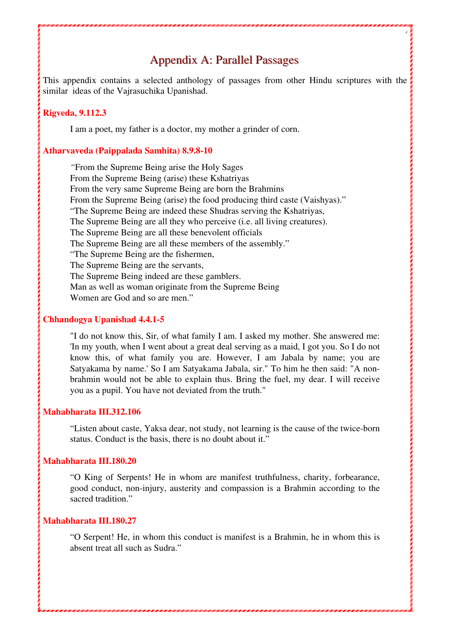## Appendix A: Parallel Passages

5

This appendix contains a selected anthology of passages from other Hindu scriptures with the similar ideas of the Vajrasuchika Upanishad.

#### **Rigveda, 9.112.3**

I am a poet, my father is a doctor, my mother a grinder of corn.

#### **Atharvaveda (Paippalada Samhita) 8.9.8-10**

*"*From the Supreme Being arise the Holy Sages From the Supreme Being (arise) these Kshatriyas From the very same Supreme Being are born the Brahmins From the Supreme Being (arise) the food producing third caste (Vaishyas)." "The Supreme Being are indeed these Shudras serving the Kshatriyas, The Supreme Being are all they who perceive (i.e. all living creatures). The Supreme Being are all these benevolent officials The Supreme Being are all these members of the assembly." "The Supreme Being are the fishermen, The Supreme Being are the servants, The Supreme Being indeed are these gamblers. Man as well as woman originate from the Supreme Being Women are God and so are men."

#### **Chhandogya Upanishad 4.4.1-5**

"I do not know this, Sir, of what family I am. I asked my mother. She answered me: 'In my youth, when I went about a great deal serving as a maid, I got you. So I do not know this, of what family you are. However, I am Jabala by name; you are Satyakama by name.' So I am Satyakama Jabala, sir." To him he then said: "A nonbrahmin would not be able to explain thus. Bring the fuel, my dear. I will receive you as a pupil. You have not deviated from the truth."

#### **Mahabharata III.312.106**

"Listen about caste, Yaksa dear, not study, not learning is the cause of the twice-born status. Conduct is the basis, there is no doubt about it."

#### **Mahabharata III.180.20**

"O King of Serpents! He in whom are manifest truthfulness, charity, forbearance, good conduct, non-injury, austerity and compassion is a Brahmin according to the sacred tradition."

#### **Mahabharata III.180.27**

"O Serpent! He, in whom this conduct is manifest is a Brahmin, he in whom this is absent treat all such as Sudra."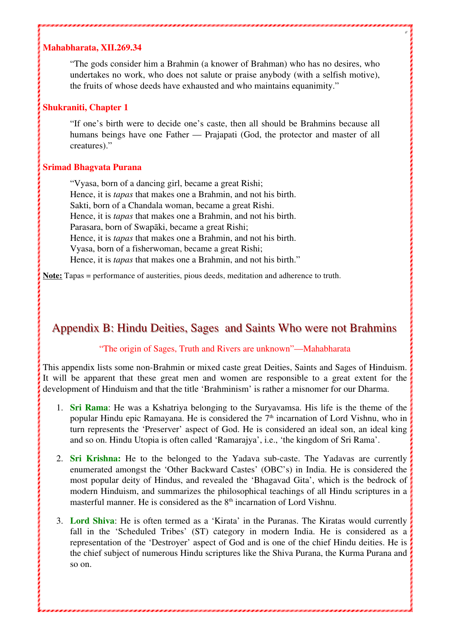#### **Mahabharata, XII.269.34**

"The gods consider him a Brahmin (a knower of Brahman) who has no desires, who undertakes no work, who does not salute or praise anybody (with a selfish motive), the fruits of whose deeds have exhausted and who maintains equanimity."

6

#### **Shukraniti, Chapter 1**

"If one's birth were to decide one's caste, then all should be Brahmins because all humans beings have one Father — Prajapati (God, the protector and master of all creatures)."

#### **Srimad Bhagvata Purana**

"Vyasa, born of a dancing girl, became a great Rishi; Hence, it is *tapas* that makes one a Brahmin, and not his birth. Sakti, born of a Chandala woman, became a great Rishi. Hence, it is *tapas* that makes one a Brahmin, and not his birth. Parasara, born of Swapāki, became a great Rishi; Hence, it is *tapas* that makes one a Brahmin, and not his birth. Vyasa, born of a fisherwoman, became a great Rishi; Hence, it is *tapas* that makes one a Brahmin, and not his birth."

**Note:** Tapas = performance of austerities, pious deeds, meditation and adherence to truth.

### Appendix B: Hindu Deities, Sages and Saints Who were not Brahmins

#### "The origin of Sages, Truth and Rivers are unknown"—Mahabharata

This appendix lists some non-Brahmin or mixed caste great Deities, Saints and Sages of Hinduism. It will be apparent that these great men and women are responsible to a great extent for the development of Hinduism and that the title 'Brahminism' is rather a misnomer for our Dharma.

- 1. **Sri Rama**: He was a Kshatriya belonging to the Suryavamsa. His life is the theme of the popular Hindu epic Ramayana. He is considered the  $7<sup>th</sup>$  incarnation of Lord Vishnu, who in turn represents the 'Preserver' aspect of God. He is considered an ideal son, an ideal king and so on. Hindu Utopia is often called 'Ramarajya', i.e., 'the kingdom of Sri Rama'.
- 2. **Sri Krishna:** He to the belonged to the Yadava sub-caste. The Yadavas are currently enumerated amongst the 'Other Backward Castes' (OBC's) in India. He is considered the most popular deity of Hindus, and revealed the 'Bhagavad Gita', which is the bedrock of modern Hinduism, and summarizes the philosophical teachings of all Hindu scriptures in a masterful manner. He is considered as the  $8<sup>th</sup>$  incarnation of Lord Vishnu.
- 3. **Lord Shiva**: He is often termed as a 'Kirata' in the Puranas. The Kiratas would currently fall in the 'Scheduled Tribes' (ST) category in modern India. He is considered as a representation of the 'Destroyer' aspect of God and is one of the chief Hindu deities. He is the chief subject of numerous Hindu scriptures like the Shiva Purana, the Kurma Purana and so on.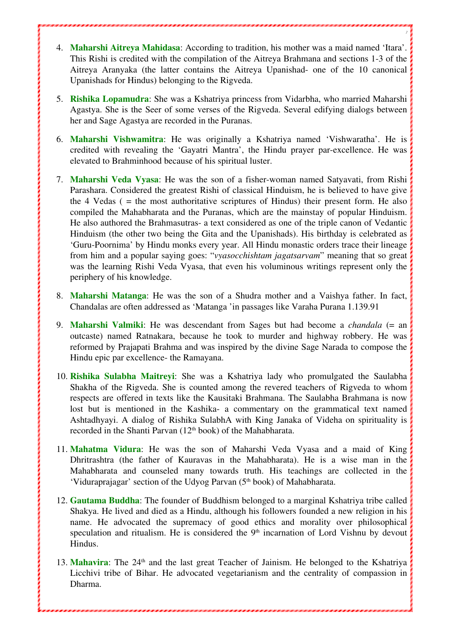4. **Maharshi Aitreya Mahidasa**: According to tradition, his mother was a maid named 'Itara'. This Rishi is credited with the compilation of the Aitreya Brahmana and sections 1-3 of the Aitreya Aranyaka (the latter contains the Aitreya Upanishad- one of the 10 canonical Upanishads for Hindus) belonging to the Rigveda.

7

- 5. **Rishika Lopamudra**: She was a Kshatriya princess from Vidarbha, who married Maharshi Agastya. She is the Seer of some verses of the Rigveda. Several edifying dialogs between her and Sage Agastya are recorded in the Puranas.
- 6. **Maharshi Vishwamitra**: He was originally a Kshatriya named 'Vishwaratha'. He is credited with revealing the 'Gayatri Mantra', the Hindu prayer par-excellence. He was elevated to Brahminhood because of his spiritual luster.
- 7. **Maharshi Veda Vyasa**: He was the son of a fisher-woman named Satyavati, from Rishi Parashara. Considered the greatest Rishi of classical Hinduism, he is believed to have give the 4 Vedas ( = the most authoritative scriptures of Hindus) their present form. He also compiled the Mahabharata and the Puranas, which are the mainstay of popular Hinduism. He also authored the Brahmasutras- a text considered as one of the triple canon of Vedantic Hinduism (the other two being the Gita and the Upanishads). His birthday is celebrated as 'Guru-Poornima' by Hindu monks every year. All Hindu monastic orders trace their lineage from him and a popular saying goes: "*vyasocchishtam jagatsarvam*" meaning that so great was the learning Rishi Veda Vyasa, that even his voluminous writings represent only the periphery of his knowledge.
- 8. **Maharshi Matanga**: He was the son of a Shudra mother and a Vaishya father. In fact, Chandalas are often addressed as 'Matanga 'in passages like Varaha Purana 1.139.91
- 9. **Maharshi Valmiki**: He was descendant from Sages but had become a *chandala* (= an outcaste) named Ratnakara, because he took to murder and highway robbery. He was reformed by Prajapati Brahma and was inspired by the divine Sage Narada to compose the Hindu epic par excellence- the Ramayana.
- 10. **Rishika Sulabha Maitreyi**: She was a Kshatriya lady who promulgated the Saulabha Shakha of the Rigveda. She is counted among the revered teachers of Rigveda to whom respects are offered in texts like the Kausitaki Brahmana. The Saulabha Brahmana is now lost but is mentioned in the Kashika- a commentary on the grammatical text named Ashtadhyayi. A dialog of Rishika SulabhA with King Janaka of Videha on spirituality is recorded in the Shanti Parvan (12<sup>th</sup> book) of the Mahabharata.
- 11. **Mahatma Vidura**: He was the son of Maharshi Veda Vyasa and a maid of King Dhritrashtra (the father of Kauravas in the Mahabharata). He is a wise man in the Mahabharata and counseled many towards truth. His teachings are collected in the 'Viduraprajagar' section of the Udyog Parvan (5<sup>th</sup> book) of Mahabharata.
- 12. **Gautama Buddha**: The founder of Buddhism belonged to a marginal Kshatriya tribe called Shakya. He lived and died as a Hindu, although his followers founded a new religion in his name. He advocated the supremacy of good ethics and morality over philosophical speculation and ritualism. He is considered the  $9<sup>th</sup>$  incarnation of Lord Vishnu by devout Hindus.
- 13. Mahavira: The 24<sup>th</sup> and the last great Teacher of Jainism. He belonged to the Kshatriya Licchivi tribe of Bihar. He advocated vegetarianism and the centrality of compassion in Dharma.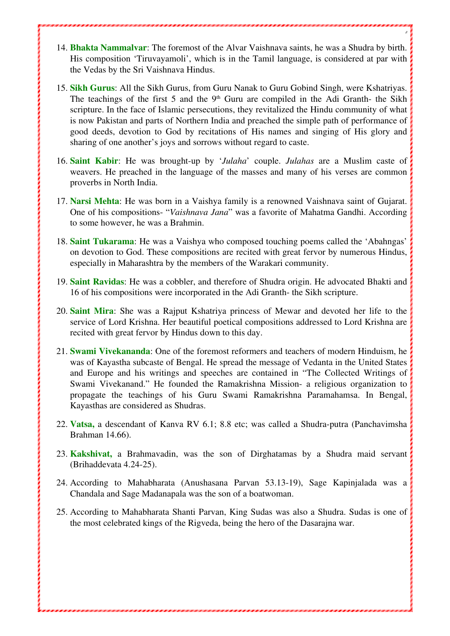14. **Bhakta Nammalvar**: The foremost of the Alvar Vaishnava saints, he was a Shudra by birth. His composition 'Tiruvayamoli', which is in the Tamil language, is considered at par with the Vedas by the Sri Vaishnava Hindus.

8

- 15. **Sikh Gurus**: All the Sikh Gurus, from Guru Nanak to Guru Gobind Singh, were Kshatriyas. The teachings of the first 5 and the  $9<sup>th</sup>$  Guru are compiled in the Adi Granth- the Sikh scripture. In the face of Islamic persecutions, they revitalized the Hindu community of what is now Pakistan and parts of Northern India and preached the simple path of performance of good deeds, devotion to God by recitations of His names and singing of His glory and sharing of one another's joys and sorrows without regard to caste.
- 16. **Saint Kabir**: He was brought-up by '*Julaha*' couple. *Julahas* are a Muslim caste of weavers. He preached in the language of the masses and many of his verses are common proverbs in North India.
- 17. **Narsi Mehta**: He was born in a Vaishya family is a renowned Vaishnava saint of Gujarat. One of his compositions- "*Vaishnava Jana*" was a favorite of Mahatma Gandhi. According to some however, he was a Brahmin.
- 18. **Saint Tukarama**: He was a Vaishya who composed touching poems called the 'Abahngas' on devotion to God. These compositions are recited with great fervor by numerous Hindus, especially in Maharashtra by the members of the Warakari community.
- 19. **Saint Ravidas**: He was a cobbler, and therefore of Shudra origin. He advocated Bhakti and 16 of his compositions were incorporated in the Adi Granth- the Sikh scripture.
- 20. **Saint Mira**: She was a Rajput Kshatriya princess of Mewar and devoted her life to the service of Lord Krishna. Her beautiful poetical compositions addressed to Lord Krishna are recited with great fervor by Hindus down to this day.
- 21. **Swami Vivekananda**: One of the foremost reformers and teachers of modern Hinduism, he was of Kayastha subcaste of Bengal. He spread the message of Vedanta in the United States and Europe and his writings and speeches are contained in "The Collected Writings of Swami Vivekanand." He founded the Ramakrishna Mission- a religious organization to propagate the teachings of his Guru Swami Ramakrishna Paramahamsa. In Bengal, Kayasthas are considered as Shudras.
- 22. **Vatsa,** a descendant of Kanva RV 6.1; 8.8 etc; was called a Shudra-putra (Panchavimsha Brahman 14.66).
- 23. **Kakshivat,** a Brahmavadin, was the son of Dirghatamas by a Shudra maid servant (Brihaddevata 4.24-25).
- 24. According to Mahabharata (Anushasana Parvan 53.13-19), Sage Kapinjalada was a Chandala and Sage Madanapala was the son of a boatwoman.
- 25. According to Mahabharata Shanti Parvan, King Sudas was also a Shudra. Sudas is one of the most celebrated kings of the Rigveda, being the hero of the Dasarajna war.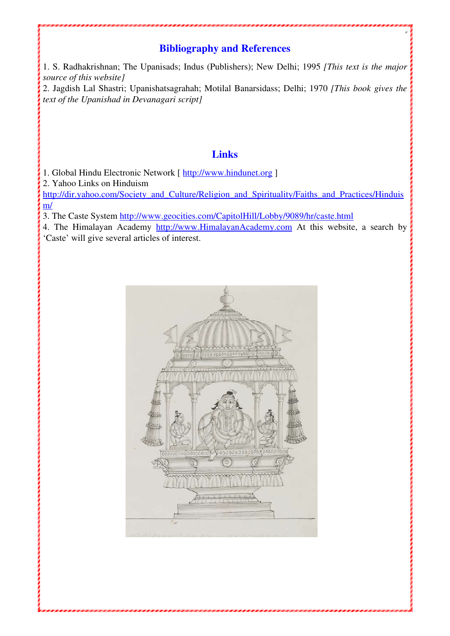## **Bibliography and References**

9

1. S. Radhakrishnan; The Upanisads; Indus (Publishers); New Delhi; 1995 *[This text is the major source of this website]*

2. Jagdish Lal Shastri; Upanishatsagrahah; Motilal Banarsidass; Delhi; 1970 *[This book gives the text of the Upanishad in Devanagari script]*

### **Links**

1. Global Hindu Electronic Network [ http://www.hindunet.org ]

2. Yahoo Links on Hinduism

http://dir.yahoo.com/Society\_and\_Culture/Religion\_and\_Spirituality/Faiths\_and\_Practices/Hinduis m/

3. The Caste System http://www.geocities.com/CapitolHill/Lobby/9089/hr/caste.html

4. The Himalayan Academy http://www.HimalayanAcademy.com At this website, a search by 'Caste' will give several articles of interest.